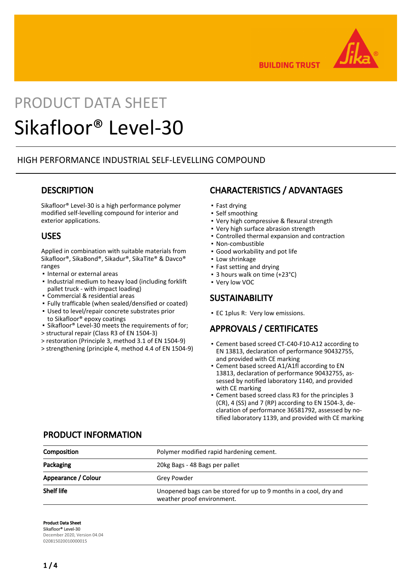

**BUILDING TRUST** 

# PRODUCT DATA SHEET Sikafloor® Level-30

## HIGH PERFORMANCE INDUSTRIAL SELF-LEVELLING COMPOUND

## **DESCRIPTION**

Sikafloor® Level-30 is a high performance polymer modified self-levelling compound for interior and exterior applications.

## USES

Applied in combination with suitable materials from Sikafloor®, SikaBond®, Sikadur®, SikaTite® & Davco® ranges

- Internal or external areas
- . Industrial medium to heavy load (including forklift pallet truck - with impact loading)
- Commercial & residential areas
- Fully trafficable (when sealed/densified or coated)
- Used to level/repair concrete substrates prior to Sikafloor® epoxy coatings
- Sikafloor® Level-30 meets the requirements of for;
- > structural repair (Class R3 of EN 1504-3)
- > restoration (Principle 3, method 3.1 of EN 1504-9)
- > strengthening (principle 4, method 4.4 of EN 1504-9)

CHARACTERISTICS / ADVANTAGES

- Fast drying
- Self smoothing
- Very high compressive & flexural strength
- Very high surface abrasion strength
- Controlled thermal expansion and contraction
- Non-combustible
- Good workability and pot life
- **Low shrinkage**
- Fast setting and drying
	- 3 hours walk on time (+23°C)
	- Very low VOC

## **SUSTAINABILITY**

**EC 1plus R: Very low emissions.** 

## APPROVALS / CERTIFICATES

- Cement based screed CT-C40-F10-A12 according to EN 13813, declaration of performance 90432755, and provided with CE marking
- Cement based screed A1/A1fl according to EN 13813, declaration of performance 90432755, assessed by notified laboratory 1140, and provided with CE marking
- Cement based screed class R3 for the principles 3 (CR), 4 (SS) and 7 (RP) according to EN 1504-3, declaration of performance 36581792, assessed by notified laboratory 1139, and provided with CE marking

## PRODUCT INFORMATION

| Composition         | Polymer modified rapid hardening cement.                                                        |
|---------------------|-------------------------------------------------------------------------------------------------|
| Packaging           | 20kg Bags - 48 Bags per pallet                                                                  |
| Appearance / Colour | Grey Powder                                                                                     |
| <b>Shelf life</b>   | Unopened bags can be stored for up to 9 months in a cool, dry and<br>weather proof environment. |

Product Data Sheet Sikafloor® Level-30 December 2020, Version 04.04 020815020010000015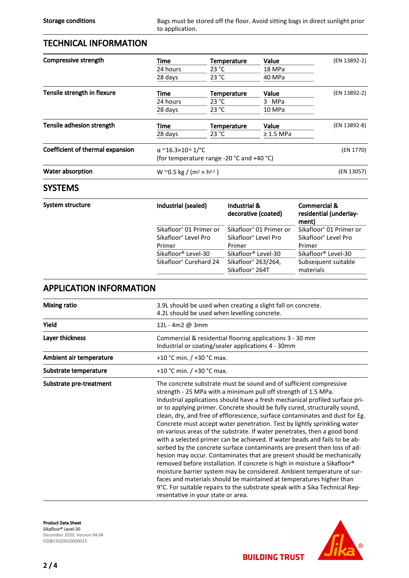## TECHNICAL INFORMATION

| Compressive strength             | Time                                              | Temperature        | Value          | (EN 13892-2) |
|----------------------------------|---------------------------------------------------|--------------------|----------------|--------------|
|                                  | 24 hours                                          | 23 °C              | 18 MPa         |              |
|                                  | 28 days                                           | 23 °C              | 40 MPa         |              |
| Tensile strength in flexure      | Time                                              | <b>Temperature</b> | Value          | (EN 13892-2) |
|                                  | 24 hours                                          | 23 °C              | 3 MPa          |              |
|                                  | 28 days                                           | 23 °C              | 10 MPa         |              |
| Tensile adhesion strength        | Time                                              | <b>Temperature</b> | Value          | (EN 13892-8) |
|                                  | 28 days                                           | 23 °C              | $\geq$ 1.5 MPa |              |
| Coefficient of thermal expansion | $\alpha$ ~16.3×10 <sup>-6</sup> 1/ <sup>o</sup> C |                    |                | (EN 1770)    |
|                                  | (for temperature range -20 °C and +40 °C)         |                    |                |              |
| Water absorption                 | W ~0.5 kg / (m <sup>2</sup> × h <sup>0.5</sup> )  |                    |                | (EN 13057)   |
|                                  |                                                   |                    |                |              |

## **SYSTEMS**

| System structure | Industrial (sealed)                 | Industrial &<br>decorative (coated) | <b>Commercial &amp;</b><br>residential (underlay-<br>ment) |  |
|------------------|-------------------------------------|-------------------------------------|------------------------------------------------------------|--|
|                  | Sikafloor <sup>®</sup> 01 Primer or | Sikafloor <sup>®</sup> 01 Primer or | Sikafloor <sup>®</sup> 01 Primer or                        |  |
|                  | Sikafloor <sup>®</sup> Level Pro    | Sikafloor <sup>®</sup> Level Pro    | Sikafloor <sup>®</sup> Level Pro                           |  |
|                  | Primer                              | Primer                              | Primer                                                     |  |
|                  | Sikafloor <sup>®</sup> Level-30     | Sikafloor <sup>®</sup> Level-30     | Sikafloor <sup>®</sup> Level-30                            |  |
|                  | Sikafloor <sup>®</sup> Curehard 24  | Sikafloor <sup>®</sup> 263/264,     | Subsequent suitable                                        |  |
|                  |                                     | Sikafloor <sup>®</sup> 264T         | materials                                                  |  |

## APPLICATION INFORMATION

| Mixing ratio            | 3.9L should be used when creating a slight fall on concrete.<br>4.2L should be used when levelling concrete.                                                                                                                                                                                                                                                                                                                                                                                                                                                                                                                                                                                                                                                                                                                                                                                                                                                                                                                                                                                                                       |  |  |
|-------------------------|------------------------------------------------------------------------------------------------------------------------------------------------------------------------------------------------------------------------------------------------------------------------------------------------------------------------------------------------------------------------------------------------------------------------------------------------------------------------------------------------------------------------------------------------------------------------------------------------------------------------------------------------------------------------------------------------------------------------------------------------------------------------------------------------------------------------------------------------------------------------------------------------------------------------------------------------------------------------------------------------------------------------------------------------------------------------------------------------------------------------------------|--|--|
| Yield                   | 12L - 4m2 @ 3mm                                                                                                                                                                                                                                                                                                                                                                                                                                                                                                                                                                                                                                                                                                                                                                                                                                                                                                                                                                                                                                                                                                                    |  |  |
| Layer thickness         | Commercial & residential flooring applications 3 - 30 mm<br>Industrial or coating/sealer applications 4 - 30mm                                                                                                                                                                                                                                                                                                                                                                                                                                                                                                                                                                                                                                                                                                                                                                                                                                                                                                                                                                                                                     |  |  |
| Ambient air temperature | +10 °C min. $/$ +30 °C max.                                                                                                                                                                                                                                                                                                                                                                                                                                                                                                                                                                                                                                                                                                                                                                                                                                                                                                                                                                                                                                                                                                        |  |  |
| Substrate temperature   | +10 °C min. $/$ +30 °C max.                                                                                                                                                                                                                                                                                                                                                                                                                                                                                                                                                                                                                                                                                                                                                                                                                                                                                                                                                                                                                                                                                                        |  |  |
| Substrate pre-treatment | The concrete substrate must be sound and of sufficient compressive<br>strength - 25 MPa with a minimum pull off strength of 1.5 MPa.<br>Industrial applications should have a fresh mechanical profiled surface pri-<br>or to applying primer. Concrete should be fully cured, structurally sound,<br>clean, dry, and free of efflorescence, surface contaminates and dust for Eg.<br>Concrete must accept water penetration. Test by lightly sprinkling water<br>on various areas of the substrate. If water penetrates, then a good bond<br>with a selected primer can be achieved. If water beads and fails to be ab-<br>sorbed by the concrete surface contaminants are present then loss of ad-<br>hesion may occur. Contaminates that are present should be mechanically<br>removed before installation. If concrete is high in moisture a Sikafloor®<br>moisture barrier system may be considered. Ambient temperature of sur-<br>faces and materials should be maintained at temperatures higher than<br>9°C. For suitable repairs to the substrate speak with a Sika Technical Rep-<br>resentative in your state or area. |  |  |

Product Data Sheet Sikafloor® Level-30 December 2020, Version 04.04 020815020010000015

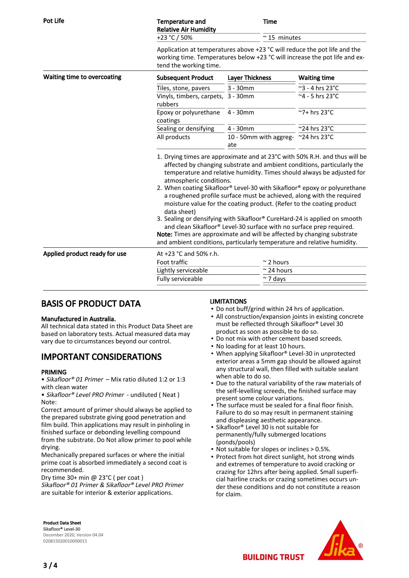| <b>Pot Life</b>               | <b>Temperature and</b><br><b>Relative Air Humidity</b><br>+23 °C / 50%                                                                                                                                                                                                                                                                                                                                                                                                                                                                                                                                                                                                                                                                                                                                             | <b>Time</b>                         | $~\sim$ 15 minutes              |  |
|-------------------------------|--------------------------------------------------------------------------------------------------------------------------------------------------------------------------------------------------------------------------------------------------------------------------------------------------------------------------------------------------------------------------------------------------------------------------------------------------------------------------------------------------------------------------------------------------------------------------------------------------------------------------------------------------------------------------------------------------------------------------------------------------------------------------------------------------------------------|-------------------------------------|---------------------------------|--|
|                               | Application at temperatures above +23 °C will reduce the pot life and the<br>working time. Temperatures below +23 °C will increase the pot life and ex-<br>tend the working time.                                                                                                                                                                                                                                                                                                                                                                                                                                                                                                                                                                                                                                  |                                     |                                 |  |
| Waiting time to overcoating   | <b>Subsequent Product</b>                                                                                                                                                                                                                                                                                                                                                                                                                                                                                                                                                                                                                                                                                                                                                                                          | <b>Layer Thickness</b>              | <b>Waiting time</b>             |  |
|                               | Tiles, stone, pavers                                                                                                                                                                                                                                                                                                                                                                                                                                                                                                                                                                                                                                                                                                                                                                                               | $3 - 30$ mm                         | $\sim$ 3 - 4 hrs 23 $\degree$ C |  |
|                               | Vinyls, timbers, carpets,<br>rubbers                                                                                                                                                                                                                                                                                                                                                                                                                                                                                                                                                                                                                                                                                                                                                                               | $3 - 30$ mm                         | $\overline{4}$ - 5 hrs 23°C     |  |
|                               | Epoxy or polyurethane<br>coatings                                                                                                                                                                                                                                                                                                                                                                                                                                                                                                                                                                                                                                                                                                                                                                                  | 4 - 30mm                            | ~7+ hrs 23°C                    |  |
|                               | Sealing or densifying                                                                                                                                                                                                                                                                                                                                                                                                                                                                                                                                                                                                                                                                                                                                                                                              | 4 - 30mm                            | ~24 hrs 23°C                    |  |
|                               | All products                                                                                                                                                                                                                                                                                                                                                                                                                                                                                                                                                                                                                                                                                                                                                                                                       | 10 - 50mm with aggreg- ~24 hrs 23°C |                                 |  |
|                               |                                                                                                                                                                                                                                                                                                                                                                                                                                                                                                                                                                                                                                                                                                                                                                                                                    | ate                                 |                                 |  |
|                               | 1. Drying times are approximate and at 23°C with 50% R.H. and thus will be<br>affected by changing substrate and ambient conditions, particularly the<br>temperature and relative humidity. Times should always be adjusted for<br>atmospheric conditions.<br>2. When coating Sikafloor® Level-30 with Sikafloor® epoxy or polyurethane<br>a roughened profile surface must be achieved, along with the required<br>moisture value for the coating product. (Refer to the coating product<br>data sheet)<br>3. Sealing or densifying with Sikafloor® CureHard-24 is applied on smooth<br>and clean Sikafloor® Level-30 surface with no surface prep required.<br>Note: Times are approximate and will be affected by changing substrate<br>and ambient conditions, particularly temperature and relative humidity. |                                     |                                 |  |
| Applied product ready for use | At +23 °C and 50% r.h.                                                                                                                                                                                                                                                                                                                                                                                                                                                                                                                                                                                                                                                                                                                                                                                             |                                     |                                 |  |
|                               | Foot traffic                                                                                                                                                                                                                                                                                                                                                                                                                                                                                                                                                                                                                                                                                                                                                                                                       | $\sim$ 2 hours                      |                                 |  |
|                               | Lightly serviceable                                                                                                                                                                                                                                                                                                                                                                                                                                                                                                                                                                                                                                                                                                                                                                                                | $\approx$ 24 hours                  |                                 |  |
|                               | Fully serviceable                                                                                                                                                                                                                                                                                                                                                                                                                                                                                                                                                                                                                                                                                                                                                                                                  | $~\sim$ 7 days                      |                                 |  |

# BASIS OF PRODUCT DATA

#### Manufactured in Australia.

All technical data stated in this Product Data Sheet are based on laboratory tests. Actual measured data may vary due to circumstances beyond our control.

## IMPORTANT CONSIDERATIONS

#### PRIMING

• Sikafloor® 01 Primer – Mix ratio diluted 1:2 or 1:3 with clean water

• Sikafloor® Level PRO Primer - undiluted ( Neat ) Note:

Correct amount of primer should always be applied to the prepared substrate giving good penetration and film build. Thin applications may result in pinholing in finished surface or debonding levelling compound from the substrate. Do Not allow primer to pool while drying.

Mechanically prepared surfaces or where the initial prime coat is absorbed immediately a second coat is recommended.

Dry time 30+ min @ 23°C ( per coat )

Sikafloor® 01 Primer & Sikafloor® Level PRO Primer are suitable for interior & exterior applications.

#### LIMITATIONS

- Do not buff/grind within 24 hrs of application.
- All construction/expansion joints in existing concrete must be reflected through Sikafloor® Level 30 product as soon as possible to do so.
- Do not mix with other cement based screeds.
- No loading for at least 10 hours.
- When applying Sikafloor® Level-30 in unprotected exterior areas a 5mm gap should be allowed against any structural wall, then filled with suitable sealant when able to do so.
- Due to the natural variability of the raw materials of the self-levelling screeds, the finished surface may present some colour variations.
- The surface must be sealed for a final floor finish. Failure to do so may result in permanent staining and displeasing aesthetic appearance.
- Sikafloor® Level 30 is not suitable for permanently/fully submerged locations (ponds/pools)
- Not suitable for slopes or inclines > 0.5%.
- Protect from hot direct sunlight, hot strong winds and extremes of temperature to avoid cracking or crazing for 12hrs after being applied. Small superficial hairline cracks or crazing sometimes occurs under these conditions and do not constitute a reason for claim.

Product Data Sheet Sikafloor® Level-30 December 2020, Version 04.04 020815020010000015



**BUILDING TRUST**